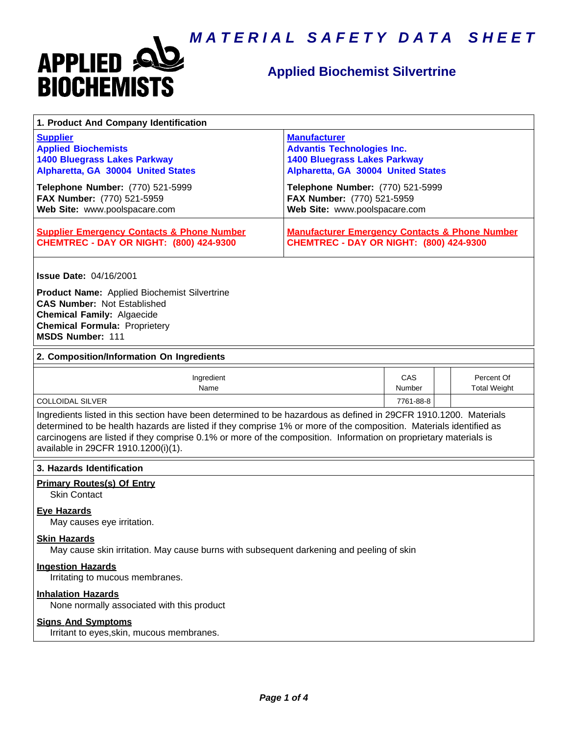

# **Applied Biochemist Silvertrine**

| 1. Product And Company Identification                                                                                                                                                                                                                                                                                                                                                             |                                                                                                                                       |               |                                   |  |
|---------------------------------------------------------------------------------------------------------------------------------------------------------------------------------------------------------------------------------------------------------------------------------------------------------------------------------------------------------------------------------------------------|---------------------------------------------------------------------------------------------------------------------------------------|---------------|-----------------------------------|--|
| <b>Supplier</b><br><b>Applied Biochemists</b><br><b>1400 Bluegrass Lakes Parkway</b><br>Alpharetta, GA 30004 United States                                                                                                                                                                                                                                                                        | <b>Manufacturer</b><br><b>Advantis Technologies Inc.</b><br><b>1400 Bluegrass Lakes Parkway</b><br>Alpharetta, GA 30004 United States |               |                                   |  |
| Telephone Number: (770) 521-5999<br>FAX Number: (770) 521-5959<br>Web Site: www.poolspacare.com                                                                                                                                                                                                                                                                                                   | Telephone Number: (770) 521-5999<br>FAX Number: (770) 521-5959<br>Web Site: www.poolspacare.com                                       |               |                                   |  |
| <b>Supplier Emergency Contacts &amp; Phone Number</b><br><b>CHEMTREC - DAY OR NIGHT: (800) 424-9300</b>                                                                                                                                                                                                                                                                                           | <b>Manufacturer Emergency Contacts &amp; Phone Number</b><br><b>CHEMTREC - DAY OR NIGHT: (800) 424-9300</b>                           |               |                                   |  |
| <b>Issue Date: 04/16/2001</b><br><b>Product Name:</b> Applied Biochemist Silvertrine<br><b>CAS Number: Not Established</b><br><b>Chemical Family: Algaecide</b><br><b>Chemical Formula: Proprietery</b><br>MSDS Number: 111                                                                                                                                                                       |                                                                                                                                       |               |                                   |  |
| 2. Composition/Information On Ingredients                                                                                                                                                                                                                                                                                                                                                         |                                                                                                                                       |               |                                   |  |
| Ingredient<br>Name                                                                                                                                                                                                                                                                                                                                                                                |                                                                                                                                       | CAS<br>Number | Percent Of<br><b>Total Weight</b> |  |
| <b>COLLOIDAL SILVER</b>                                                                                                                                                                                                                                                                                                                                                                           |                                                                                                                                       | 7761-88-8     |                                   |  |
| Ingredients listed in this section have been determined to be hazardous as defined in 29CFR 1910.1200. Materials<br>determined to be health hazards are listed if they comprise 1% or more of the composition. Materials identified as<br>carcinogens are listed if they comprise 0.1% or more of the composition. Information on proprietary materials is<br>available in 29CFR 1910.1200(i)(1). |                                                                                                                                       |               |                                   |  |
| 3. Hazards Identification                                                                                                                                                                                                                                                                                                                                                                         |                                                                                                                                       |               |                                   |  |
| <b>Primary Routes(s) Of Entry</b><br><b>Skin Contact</b>                                                                                                                                                                                                                                                                                                                                          |                                                                                                                                       |               |                                   |  |
| <b>Eye Hazards</b><br>May causes eye irritation.                                                                                                                                                                                                                                                                                                                                                  |                                                                                                                                       |               |                                   |  |
| <b>Skin Hazards</b><br>May cause skin irritation. May cause burns with subsequent darkening and peeling of skin                                                                                                                                                                                                                                                                                   |                                                                                                                                       |               |                                   |  |
| <b>Ingestion Hazards</b><br>Irritating to mucous membranes.                                                                                                                                                                                                                                                                                                                                       |                                                                                                                                       |               |                                   |  |
| <b>Inhalation Hazards</b><br>None normally associated with this product                                                                                                                                                                                                                                                                                                                           |                                                                                                                                       |               |                                   |  |
| <b>Signs And Symptoms</b><br>Irritant to eyes, skin, mucous membranes.                                                                                                                                                                                                                                                                                                                            |                                                                                                                                       |               |                                   |  |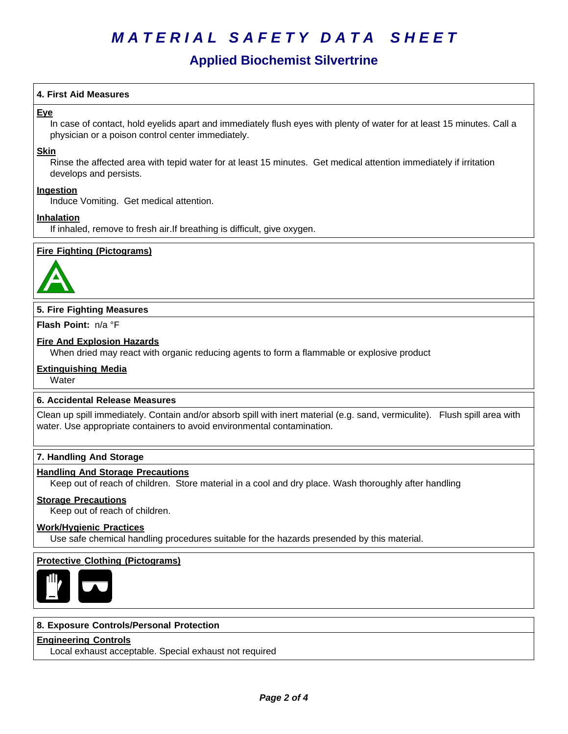# **Applied Biochemist Silvertrine**

# **4. First Aid Measures**

# **Eye**

In case of contact, hold eyelids apart and immediately flush eyes with plenty of water for at least 15 minutes. Call a physician or a poison control center immediately.

#### **Skin**

Rinse the affected area with tepid water for at least 15 minutes. Get medical attention immediately if irritation develops and persists.

### **Ingestion**

Induce Vomiting. Get medical attention.

### **Inhalation**

If inhaled, remove to fresh air.If breathing is difficult, give oxygen.

### **Fire Fighting (Pictograms)**



### **5. Fire Fighting Measures**

**Flash Point:** n/a°F

# **Fire And Explosion Hazards**

When dried may react with organic reducing agents to form a flammable or explosive product

### **Extinguishing Media**

**Water** 

### **6.Accidental ReleaseMeasures**

Clean up spill immediately. Contain and/or absorb spill with inert material (e.g. sand, vermiculite). Flush spill area with water. Use appropriate containers to avoid environmental contamination.

## **7. Handling And Storage**

#### **Handling And Storage Precautions**

Keep out of reach of children. Store material in a cool and dry place. Wash thoroughly after handling

#### **Storage Precautions**

Keep out of reach of children.

#### **Work/Hygienic Practices**

Use safe chemical handling procedures suitable for the hazards presended by this material.

### **Protective Clothing (Pictograms)**



#### **8. Exposure Controls/Personal Protection**

## **Engineering Controls**

Local exhaust acceptable. Special exhaust not required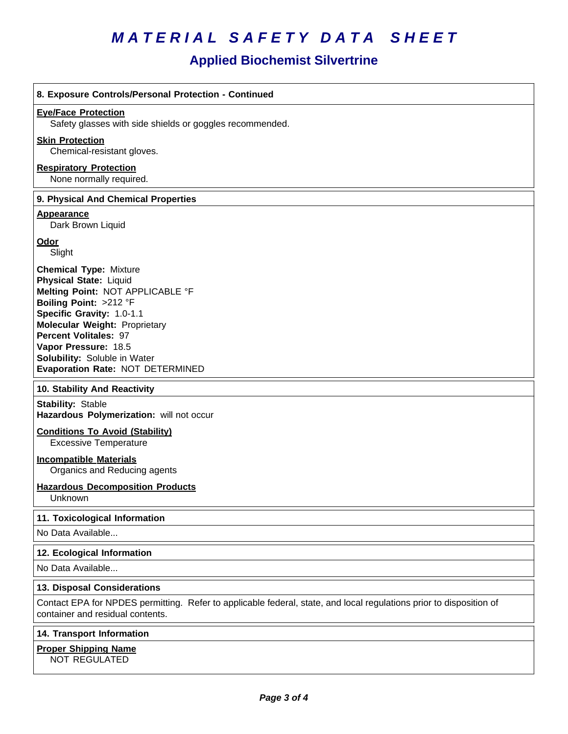# **Applied Biochemist Silvertrine**

| 8. Exposure Controls/Personal Protection - Continued                                                                                                                                                                                                                                                                          |
|-------------------------------------------------------------------------------------------------------------------------------------------------------------------------------------------------------------------------------------------------------------------------------------------------------------------------------|
| <b>Eye/Face Protection</b><br>Safety glasses with side shields or goggles recommended.                                                                                                                                                                                                                                        |
| <b>Skin Protection</b><br>Chemical-resistant gloves.                                                                                                                                                                                                                                                                          |
| <b>Respiratory Protection</b><br>None normally required.                                                                                                                                                                                                                                                                      |
| 9. Physical And Chemical Properties                                                                                                                                                                                                                                                                                           |
| <b>Appearance</b><br>Dark Brown Liquid                                                                                                                                                                                                                                                                                        |
| <b>Odor</b><br>Slight                                                                                                                                                                                                                                                                                                         |
| <b>Chemical Type: Mixture</b><br><b>Physical State: Liquid</b><br>Melting Point: NOT APPLICABLE °F<br>Boiling Point: >212 °F<br>Specific Gravity: 1.0-1.1<br><b>Molecular Weight: Proprietary</b><br><b>Percent Volitales: 97</b><br>Vapor Pressure: 18.5<br>Solubility: Soluble in Water<br>Evaporation Rate: NOT DETERMINED |
| 10. Stability And Reactivity                                                                                                                                                                                                                                                                                                  |
| <b>Stability: Stable</b><br>Hazardous Polymerization: will not occur<br><b>Conditions To Avoid (Stability)</b><br><b>Excessive Temperature</b>                                                                                                                                                                                |
| <b>Incompatible Materials</b><br>Organics and Reducing agents                                                                                                                                                                                                                                                                 |
| <b>Hazardous Decomposition Products</b><br>Unknown                                                                                                                                                                                                                                                                            |
| 11. Toxicological Information                                                                                                                                                                                                                                                                                                 |
| No Data Available                                                                                                                                                                                                                                                                                                             |
| 12. Ecological Information                                                                                                                                                                                                                                                                                                    |
| No Data Available                                                                                                                                                                                                                                                                                                             |
| 13. Disposal Considerations                                                                                                                                                                                                                                                                                                   |
| Contact EPA for NPDES permitting. Refer to applicable federal, state, and local regulations prior to disposition of<br>container and residual contents.                                                                                                                                                                       |

### **14. Transport Information**

# **Proper Shipping Name**

NOT REGULATED